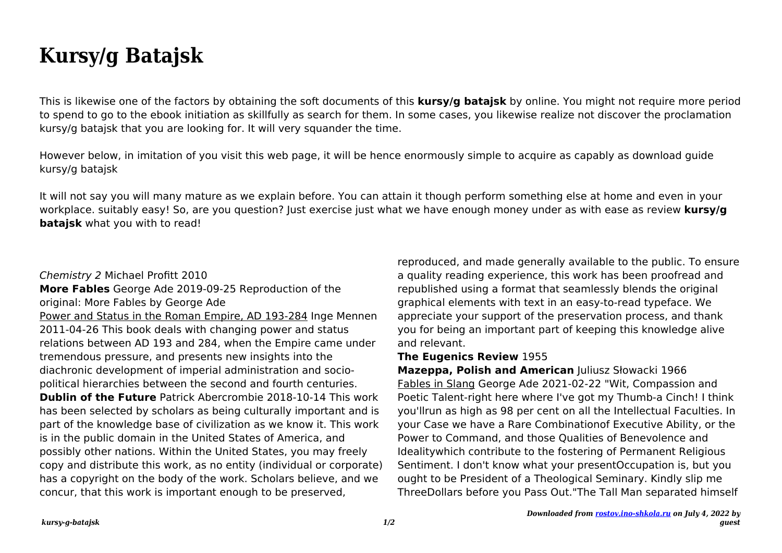## **Kursy/g Batajsk**

This is likewise one of the factors by obtaining the soft documents of this **kursy/g batajsk** by online. You might not require more period to spend to go to the ebook initiation as skillfully as search for them. In some cases, you likewise realize not discover the proclamation kursy/g batajsk that you are looking for. It will very squander the time.

However below, in imitation of you visit this web page, it will be hence enormously simple to acquire as capably as download guide kursy/g batajsk

It will not say you will many mature as we explain before. You can attain it though perform something else at home and even in your workplace. suitably easy! So, are you question? Just exercise just what we have enough money under as with ease as review **kursy/g bataisk** what you with to read!

## Chemistry 2 Michael Profitt 2010

**More Fables** George Ade 2019-09-25 Reproduction of the original: More Fables by George Ade

Power and Status in the Roman Empire, AD 193-284 Inge Mennen 2011-04-26 This book deals with changing power and status relations between AD 193 and 284, when the Empire came under tremendous pressure, and presents new insights into the diachronic development of imperial administration and sociopolitical hierarchies between the second and fourth centuries. **Dublin of the Future** Patrick Abercrombie 2018-10-14 This work has been selected by scholars as being culturally important and is part of the knowledge base of civilization as we know it. This work is in the public domain in the United States of America, and possibly other nations. Within the United States, you may freely copy and distribute this work, as no entity (individual or corporate) has a copyright on the body of the work. Scholars believe, and we concur, that this work is important enough to be preserved,

reproduced, and made generally available to the public. To ensure a quality reading experience, this work has been proofread and republished using a format that seamlessly blends the original graphical elements with text in an easy-to-read typeface. We appreciate your support of the preservation process, and thank you for being an important part of keeping this knowledge alive and relevant.

## **The Eugenics Review** 1955

**Mazeppa, Polish and American** Juliusz Słowacki 1966 Fables in Slang George Ade 2021-02-22 "Wit, Compassion and Poetic Talent-right here where I've got my Thumb-a Cinch! I think you'llrun as high as 98 per cent on all the Intellectual Faculties. In your Case we have a Rare Combinationof Executive Ability, or the Power to Command, and those Qualities of Benevolence and Idealitywhich contribute to the fostering of Permanent Religious Sentiment. I don't know what your presentOccupation is, but you ought to be President of a Theological Seminary. Kindly slip me ThreeDollars before you Pass Out."The Tall Man separated himself